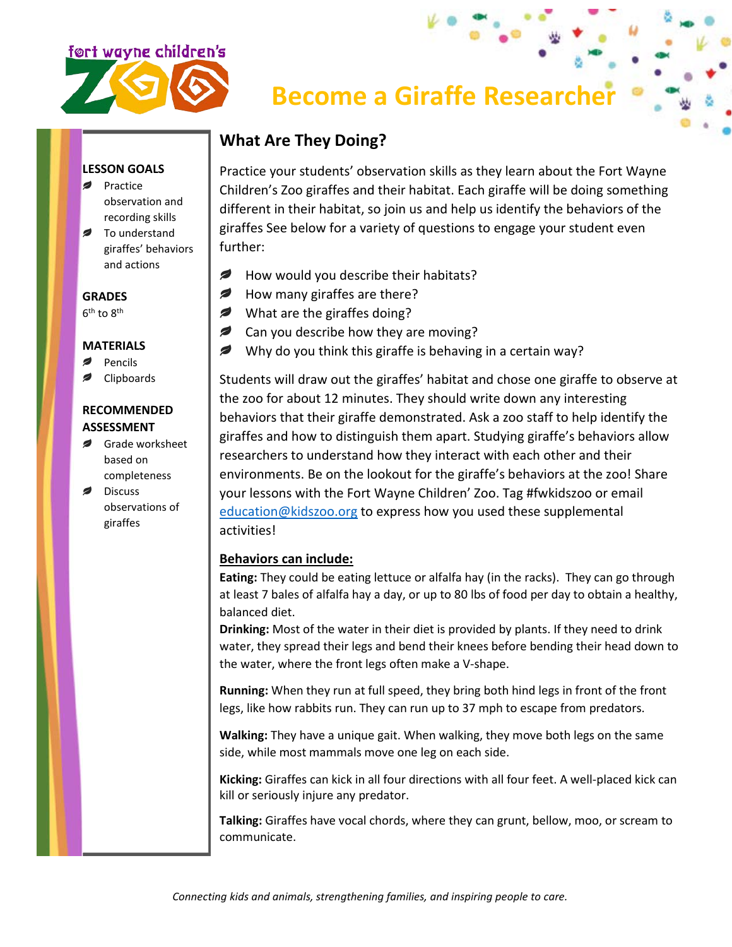

# **Become a Giraffe Researcher**

# **What Are They Doing?**

**LESSON GOALS**

- Practice observation and recording skills
- **■** To understand giraffes' behaviors and actions

**GRADES**

 $6<sup>th</sup>$  to  $8<sup>th</sup>$ 

#### **MATERIALS**

- Pencils
- Clipboards

### **RECOMMENDED ASSESSMENT**

- Grade worksheet based on completeness
- Discuss observations of giraffes

Practice your students' observation skills as they learn about the Fort Wayne Children's Zoo giraffes and their habitat. Each giraffe will be doing something different in their habitat, so join us and help us identify the behaviors of the giraffes See below for a variety of questions to engage your student even further:

- $\blacktriangleright$  How would you describe their habitats?
- $\blacktriangleright$  How many giraffes are there?
- **■** What are the giraffes doing?
- **Can you describe how they are moving?**
- Why do you think this giraffe is behaving in a certain way?

Students will draw out the giraffes' habitat and chose one giraffe to observe at the zoo for about 12 minutes. They should write down any interesting behaviors that their giraffe demonstrated. Ask a zoo staff to help identify the giraffes and how to distinguish them apart. Studying giraffe's behaviors allow researchers to understand how they interact with each other and their environments. Be on the lookout for the giraffe's behaviors at the zoo! Share your lessons with the Fort Wayne Children' Zoo. Tag #fwkidszoo or email [education@kidszoo.org](mailto:education@kidszoo.org) to express how you used these supplemental activities!

## **Behaviors can include:**

**Eating:** They could be eating lettuce or alfalfa hay (in the racks). They can go through at least 7 bales of alfalfa hay a day, or up to 80 lbs of food per day to obtain a healthy, balanced diet.

**Drinking:** Most of the water in their diet is provided by plants. If they need to drink water, they spread their legs and bend their knees before bending their head down to the water, where the front legs often make a V-shape.

**Running:** When they run at full speed, they bring both hind legs in front of the front legs, like how rabbits run. They can run up to 37 mph to escape from predators.

**Walking:** They have a unique gait. When walking, they move both legs on the same side, while most mammals move one leg on each side.

**Kicking:** Giraffes can kick in all four directions with all four feet. A well-placed kick can kill or seriously injure any predator.

**Talking:** Giraffes have vocal chords, where they can grunt, bellow, moo, or scream to communicate.